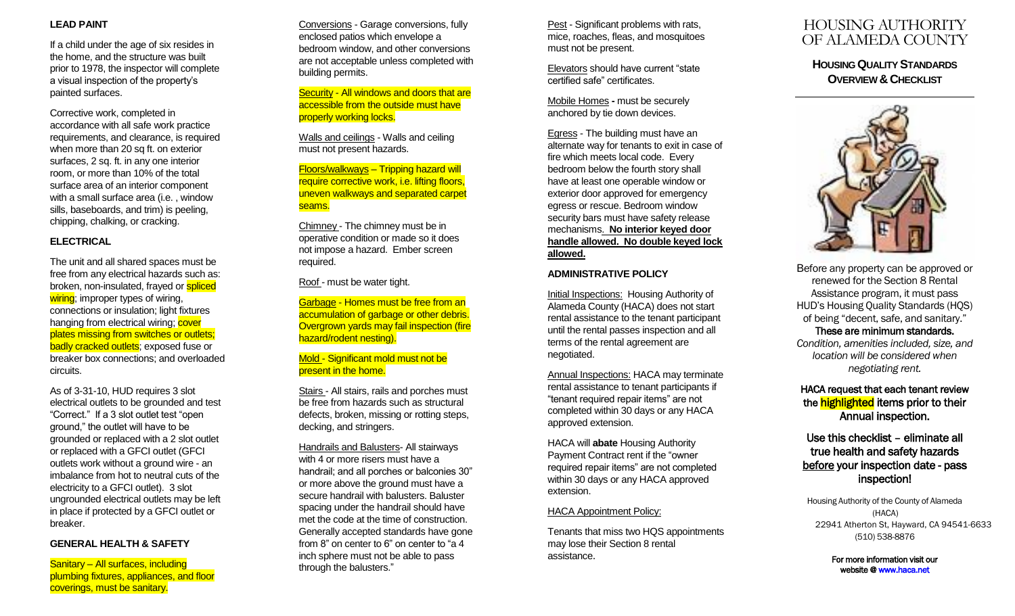#### **LEAD PAINT**

If a child under the age of six resides in the home, and the structure was built prior to 1978, the inspector will complete a visual inspection of the property's painted surfaces.

Corrective work, completed in accordance with all safe work practice requirements, and clearance, is required when more than 20 sq ft. on exterior surfaces, 2 sq. ft. in any one interior room, or more than 10% of the total surface area of an interior component with a small surface area (i.e. , window sills, baseboards, and trim) is peeling, chipping, chalking, or cracking.

### **ELECTRICAL**

The unit and all shared spaces must be free from any electrical hazards such as: broken, non-insulated, frayed or spliced wiring; improper types of wiring, connections or insulation; light fixtures hanging from electrical wiring; cover plates missing from switches or outlets; badly cracked outlets; exposed fuse or breaker box connections; and overloaded circuits.

As of 3-31-10, HUD requires 3 slot electrical outlets to be grounded and test "Correct . " If a 3 slot outlet test "open ground," the outlet will have to be grounded or replaced with a 2 slot outlet or replaced with a GFCI outlet (GFCI outlets work without a ground wire - an imbalance from hot to neutral cuts of the electricity to a GFCI outlet). 3 slot ungrounded electrical outlets may be left in place if protected by a GFCI outlet or breaker.

#### **GENERAL HEALTH & SAFETY**

Sanitary – All surface s, including plumbing fixture s, appliances, and floor coverings, must be sanitary.

Conversions - Garage conversions, fully enclosed patios which envelope a bedroom window, and other conversions are not acceptable unless completed with building permits.

Security - All windows and doors that are accessible from the outside must have properly working locks.

Walls and ceilings - Walls and ceiling must not present hazards.

Floors/walkways – Tripping hazard will require corrective work, i.e. lifting floors, uneven walkways and separated carpet seams.

Chimney - The chimney must be in operative condition or made so it does not impose a hazard. Ember screen required.

Roof - must be water tight.

Garbage - Homes must be free from an accumulation of garbage or other debris. Overgrown yards may fail inspection (fire hazard/rodent nesting).

#### Mold - Significant mold must not be present in the home.

Stairs - All stairs, rails and porches must be free from hazards such as structural defects, broken, missing or rotting steps, decking, and stringers.

Handrails and Balusters- All stairways with 4 or more risers must have a handrail; and all porches or balconies 30" or more above the ground must have a secure handrail with balusters. Baluster spacing under the handrail should have met the code at the time of construction. Generally accepted standards have gone from 8" on center to 6" on center to "a 4 inch sphere must not be able to pass through the balusters. "

Pest - Significant problems with rats, mice, roaches, fleas, and mosquitoes must not be present.

Elevators should have current "state certified safe" certificates.

Mobile Homes **-** must be securely anchored by tie down devices.

Egress - The building must have an alternate way for tenants to exit in case of fire which meets local code. Every bedroom below the fourth story shall have at least one operable window or exterior door approved for emergency egress or rescue. Bedroom window security bars must have safety release mechanisms. **No interior keyed door handle allowed. No double keyed lock allowed.** 

## **ADMINISTRATIVE POLICY**

Initial Inspections: Housing Authority of Alameda County (HACA) does not start rental assistance to the tenant participant until the rental passes inspection and all terms of the rental agreement are negotiated.

Annual Inspections: HACA may terminate rental assistance to tenant participants if "tenant required repair items" are not completed within 30 days or any HACA approved extension.

HACA will **abate** Housing Authority Payment Contract rent if the "owner required repair items" are not completed within 30 days or any HACA approved extension.

#### HACA Appointment Policy:

Tenants that miss two HQS appointments may lose their Section 8 rental assistance.

# HOUSING AUTHORITY OF ALAMEDA COUNTY

**HOUSING QUALITY STANDARDS OVERVIEW & CHECKLIST** 



Before any property can be approved or renewed for the Section 8 Rental Assistance program, it must pass HUD's Housing Quality Standards (HQS) of being "decent, safe, and sanitary." These are minimum standards. *Condition, amenities included, size, and location will be considered when negotiating rent.* 

## HACA request that each tenant review the **highlighted** items prior to their Annual inspection .

# Use this checklist – eliminate all true health and safety hazards before your inspection date - pass inspection!

Housing Authority of the County of Alameda (HACA) 22941 Atherton St, Hayward, CA 94541-6633 (510) 538-8876

> For more information visit our website [@ www.haca.net](http://www.haca.net/)